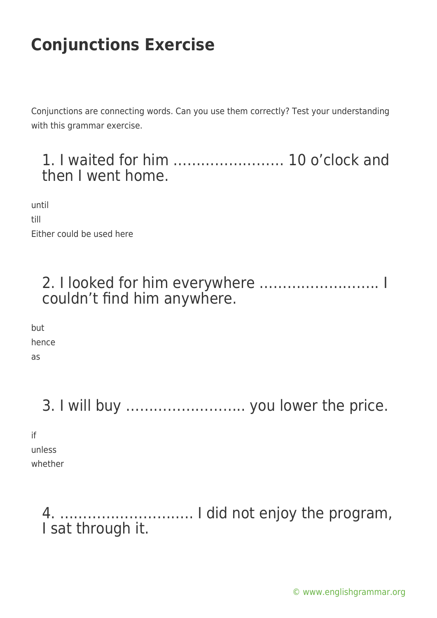Conjunctions are connecting words. Can you use them correctly? Test your understanding with this grammar exercise.

### 1. I waited for him …………………… 10 o'clock and then I went home.

until till Either could be used here

### 2. I looked for him everywhere …………………….. I couldn't find him anywhere.

but hence as

3. I will buy …………………….. you lower the price.

if unless

whether

4. ……………………….. I did not enjoy the program, I sat through it.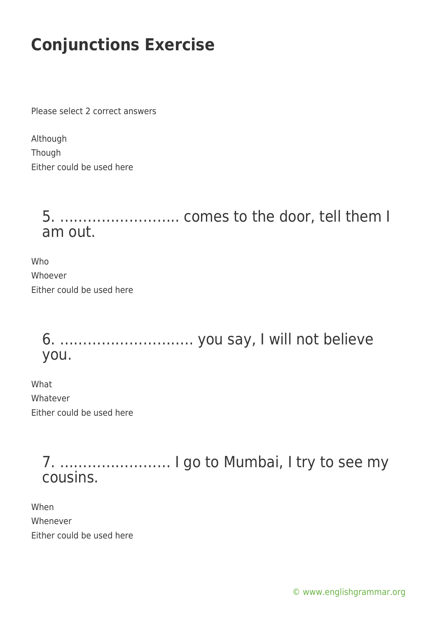Please select 2 correct answers

| Although                  |  |  |
|---------------------------|--|--|
| Though                    |  |  |
| Either could be used here |  |  |

### 5. …………………….. comes to the door, tell them I am out.

Who Whoever Either could be used here

> 6. ……………………….. you say, I will not believe you.

What Whatever Either could be used here

> 7. …………………… I go to Mumbai, I try to see my cousins.

When Whenever Either could be used here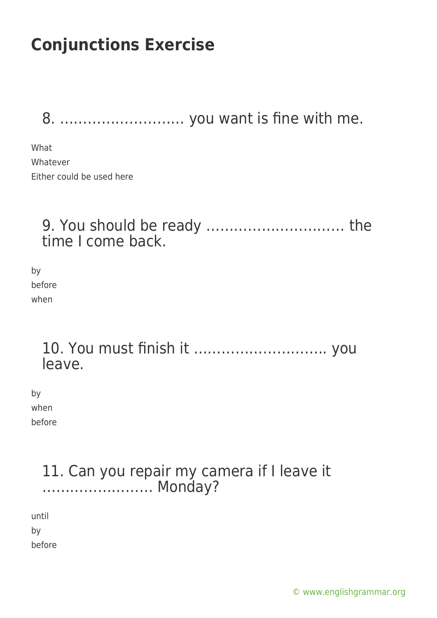8. ……………………… you want is fine with me.

What Whatever Either could be used here

#### 9. You should be ready ………………………… the time I come back.

by before when

#### 10. You must finish it ……………………….. you leave.

by when before

### 11. Can you repair my camera if I leave it …………………… Monday?

until by

before